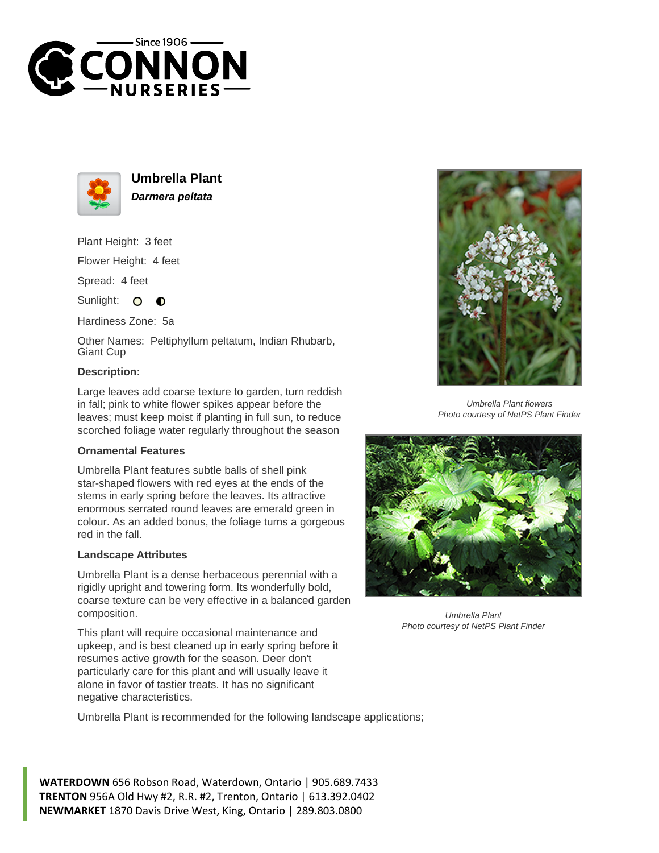



**Umbrella Plant Darmera peltata**

Plant Height: 3 feet Flower Height: 4 feet

Spread: 4 feet

Sunlight: O **O** 

Hardiness Zone: 5a

Other Names: Peltiphyllum peltatum, Indian Rhubarb, Giant Cup

## **Description:**

Large leaves add coarse texture to garden, turn reddish in fall; pink to white flower spikes appear before the leaves; must keep moist if planting in full sun, to reduce scorched foliage water regularly throughout the season

## **Ornamental Features**

Umbrella Plant features subtle balls of shell pink star-shaped flowers with red eyes at the ends of the stems in early spring before the leaves. Its attractive enormous serrated round leaves are emerald green in colour. As an added bonus, the foliage turns a gorgeous red in the fall.

## **Landscape Attributes**

Umbrella Plant is a dense herbaceous perennial with a rigidly upright and towering form. Its wonderfully bold, coarse texture can be very effective in a balanced garden composition.

This plant will require occasional maintenance and upkeep, and is best cleaned up in early spring before it resumes active growth for the season. Deer don't particularly care for this plant and will usually leave it alone in favor of tastier treats. It has no significant negative characteristics.

Umbrella Plant is recommended for the following landscape applications;

**WATERDOWN** 656 Robson Road, Waterdown, Ontario | 905.689.7433 **TRENTON** 956A Old Hwy #2, R.R. #2, Trenton, Ontario | 613.392.0402 **NEWMARKET** 1870 Davis Drive West, King, Ontario | 289.803.0800



Umbrella Plant flowers Photo courtesy of NetPS Plant Finder



Umbrella Plant Photo courtesy of NetPS Plant Finder